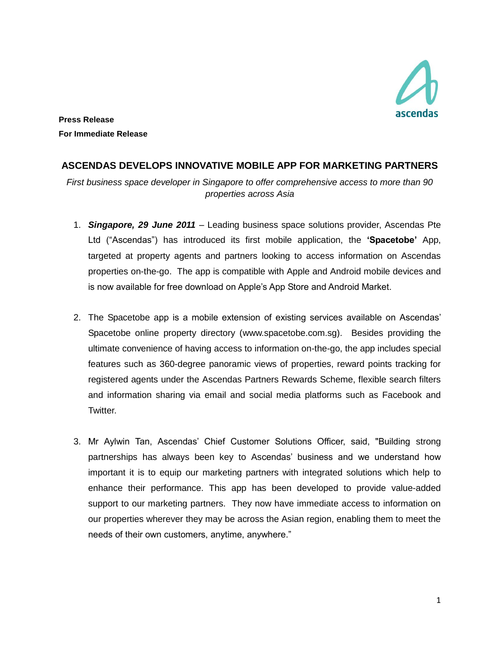

**Press Release For Immediate Release**

## **ASCENDAS DEVELOPS INNOVATIVE MOBILE APP FOR MARKETING PARTNERS**

*First business space developer in Singapore to offer comprehensive access to more than 90 properties across Asia*

- 1. *Singapore, 29 June 2011* Leading business space solutions provider, Ascendas Pte Ltd ("Ascendas") has introduced its first mobile application, the **'Spacetobe'** App, targeted at property agents and partners looking to access information on Ascendas properties on-the-go. The app is compatible with Apple and Android mobile devices and is now available for free download on Apple's App Store and Android Market.
- 2. The Spacetobe app is a mobile extension of existing services available on Ascendas' Spacetobe online property directory [\(www.spacetobe.com.sg\)](http://www.spacetobe.com.sg/). Besides providing the ultimate convenience of having access to information on-the-go, the app includes special features such as 360-degree panoramic views of properties, reward points tracking for registered agents under the Ascendas Partners Rewards Scheme, flexible search filters and information sharing via email and social media platforms such as Facebook and Twitter.
- 3. Mr Aylwin Tan, Ascendas' Chief Customer Solutions Officer, said, "Building strong partnerships has always been key to Ascendas' business and we understand how important it is to equip our marketing partners with integrated solutions which help to enhance their performance. This app has been developed to provide value-added support to our marketing partners. They now have immediate access to information on our properties wherever they may be across the Asian region, enabling them to meet the needs of their own customers, anytime, anywhere."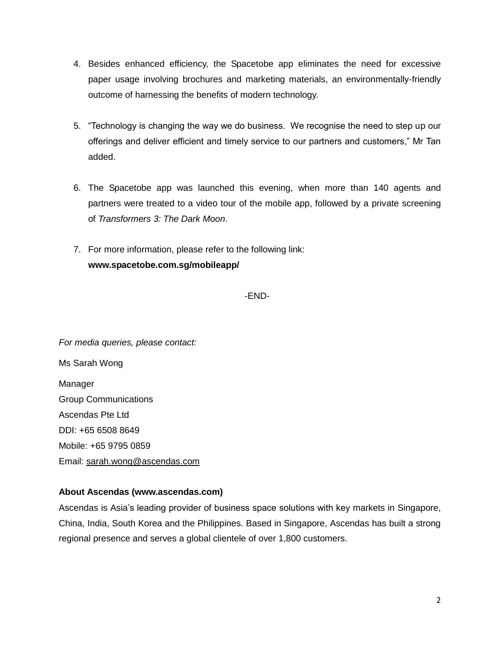- 4. Besides enhanced efficiency, the Spacetobe app eliminates the need for excessive paper usage involving brochures and marketing materials, an environmentally-friendly outcome of harnessing the benefits of modern technology.
- 5. "Technology is changing the way we do business. We recognise the need to step up our offerings and deliver efficient and timely service to our partners and customers," Mr Tan added.
- 6. The Spacetobe app was launched this evening, when more than 140 agents and partners were treated to a video tour of the mobile app, followed by a private screening of *Transformers 3: The Dark Moon*.
- 7. For more information, please refer to the following link: **www.spacetobe.com.sg/mobileapp/**

-END-

*For media queries, please contact:* Ms Sarah Wong Manager Group Communications Ascendas Pte Ltd DDI: +65 6508 8649 Mobile: +65 9795 0859 Email: [sarah.wong@ascendas.com](mailto:sarah.wong@ascendas.com)

## **About Ascendas [\(www.ascendas.com\)](http://www.ascendas.com/)**

Ascendas is Asia's leading provider of business space solutions with key markets in Singapore, China, India, South Korea and the Philippines. Based in Singapore, Ascendas has built a strong regional presence and serves a global clientele of over 1,800 customers.